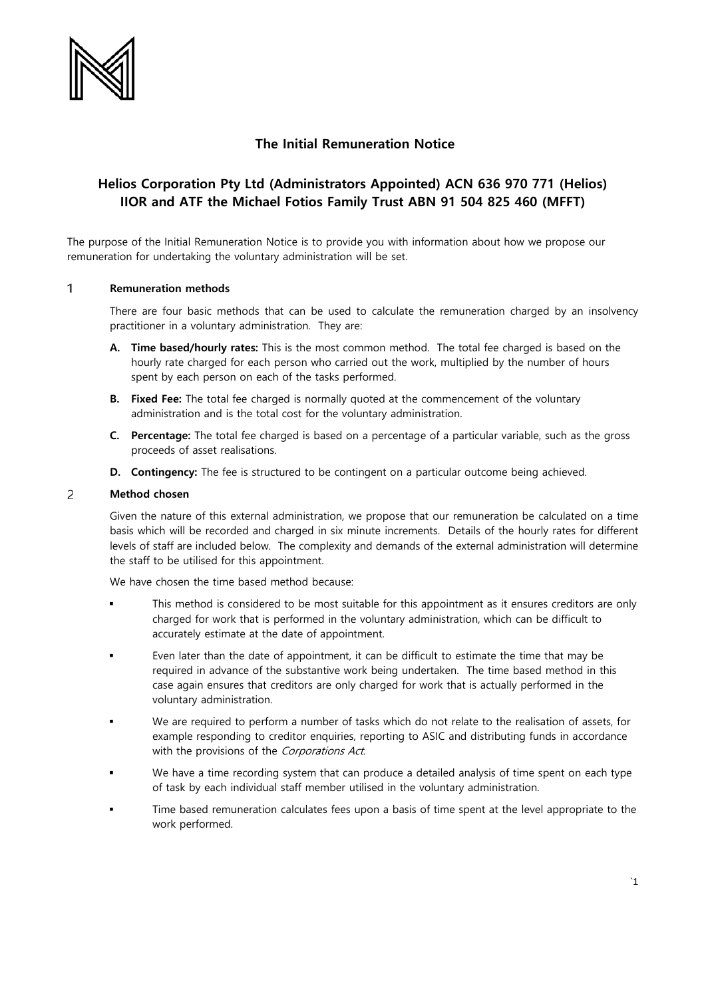

# **The Initial Remuneration Notice**

# **Helios Corporation Pty Ltd (Administrators Appointed) ACN 636 970 771 (Helios) IIOR and ATF the Michael Fotios Family Trust ABN 91 504 825 460 (MFFT)**

The purpose of the Initial Remuneration Notice is to provide you with information about how we propose our remuneration for undertaking the voluntary administration will be set.

### $\mathbf{1}$ **Remuneration methods**

There are four basic methods that can be used to calculate the remuneration charged by an insolvency practitioner in a voluntary administration. They are:

- **A. Time based/hourly rates:** This is the most common method. The total fee charged is based on the hourly rate charged for each person who carried out the work, multiplied by the number of hours spent by each person on each of the tasks performed.
- **B. Fixed Fee:** The total fee charged is normally quoted at the commencement of the voluntary administration and is the total cost for the voluntary administration.
- **C. Percentage:** The total fee charged is based on a percentage of a particular variable, such as the gross proceeds of asset realisations.
- **D. Contingency:** The fee is structured to be contingent on a particular outcome being achieved.

### $\overline{c}$ **Method chosen**

Given the nature of this external administration, we propose that our remuneration be calculated on a time basis which will be recorded and charged in six minute increments. Details of the hourly rates for different levels of staff are included below. The complexity and demands of the external administration will determine the staff to be utilised for this appointment.

We have chosen the time based method because:

- This method is considered to be most suitable for this appointment as it ensures creditors are only charged for work that is performed in the voluntary administration, which can be difficult to accurately estimate at the date of appointment.
- Even later than the date of appointment, it can be difficult to estimate the time that may be required in advance of the substantive work being undertaken. The time based method in this case again ensures that creditors are only charged for work that is actually performed in the voluntary administration.
- We are required to perform a number of tasks which do not relate to the realisation of assets, for example responding to creditor enquiries, reporting to ASIC and distributing funds in accordance with the provisions of the Corporations Act.
- We have a time recording system that can produce a detailed analysis of time spent on each type of task by each individual staff member utilised in the voluntary administration.
- Time based remuneration calculates fees upon a basis of time spent at the level appropriate to the work performed.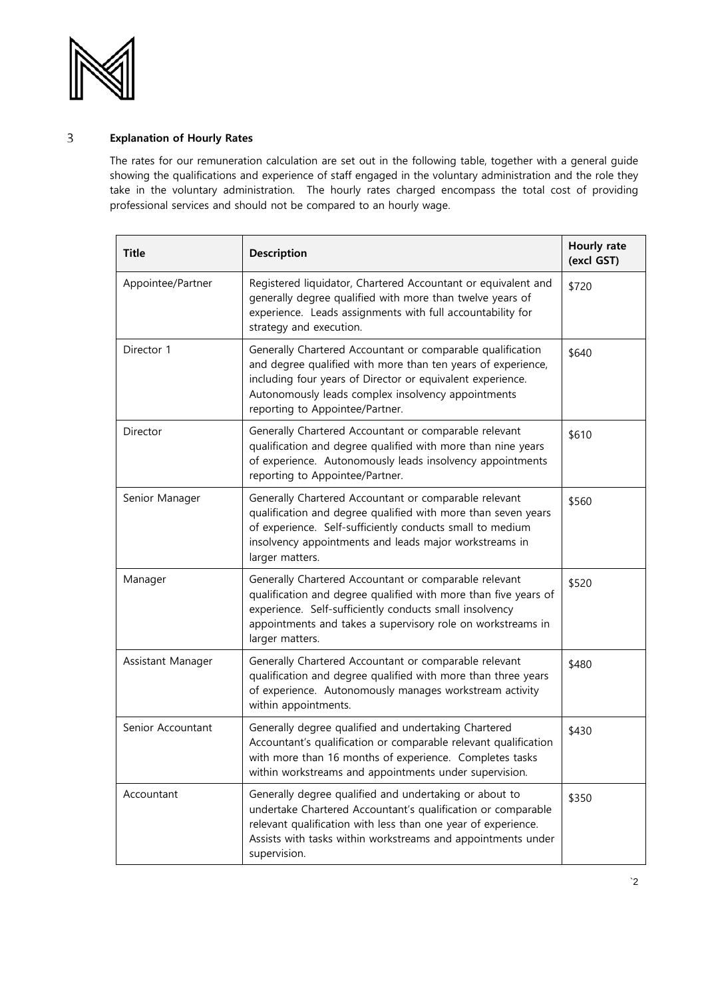

## $\mathsf{3}$ **Explanation of Hourly Rates**

The rates for our remuneration calculation are set out in the following table, together with a general guide showing the qualifications and experience of staff engaged in the voluntary administration and the role they take in the voluntary administration. The hourly rates charged encompass the total cost of providing professional services and should not be compared to an hourly wage.

| <b>Title</b>      | <b>Description</b>                                                                                                                                                                                                                                                                | Hourly rate<br>(excl GST) |
|-------------------|-----------------------------------------------------------------------------------------------------------------------------------------------------------------------------------------------------------------------------------------------------------------------------------|---------------------------|
| Appointee/Partner | Registered liquidator, Chartered Accountant or equivalent and<br>generally degree qualified with more than twelve years of<br>experience. Leads assignments with full accountability for<br>strategy and execution.                                                               | \$720                     |
| Director 1        | Generally Chartered Accountant or comparable qualification<br>and degree qualified with more than ten years of experience,<br>including four years of Director or equivalent experience.<br>Autonomously leads complex insolvency appointments<br>reporting to Appointee/Partner. | \$640                     |
| Director          | Generally Chartered Accountant or comparable relevant<br>qualification and degree qualified with more than nine years<br>of experience. Autonomously leads insolvency appointments<br>reporting to Appointee/Partner.                                                             | \$610                     |
| Senior Manager    | Generally Chartered Accountant or comparable relevant<br>qualification and degree qualified with more than seven years<br>of experience. Self-sufficiently conducts small to medium<br>insolvency appointments and leads major workstreams in<br>larger matters.                  | \$560                     |
| Manager           | Generally Chartered Accountant or comparable relevant<br>qualification and degree qualified with more than five years of<br>experience. Self-sufficiently conducts small insolvency<br>appointments and takes a supervisory role on workstreams in<br>larger matters.             | \$520                     |
| Assistant Manager | Generally Chartered Accountant or comparable relevant<br>qualification and degree qualified with more than three years<br>of experience. Autonomously manages workstream activity<br>within appointments.                                                                         | \$480                     |
| Senior Accountant | Generally degree qualified and undertaking Chartered<br>Accountant's qualification or comparable relevant qualification<br>with more than 16 months of experience. Completes tasks<br>within workstreams and appointments under supervision.                                      | \$430                     |
| Accountant        | Generally degree qualified and undertaking or about to<br>undertake Chartered Accountant's qualification or comparable<br>relevant qualification with less than one year of experience.<br>Assists with tasks within workstreams and appointments under<br>supervision.           | \$350                     |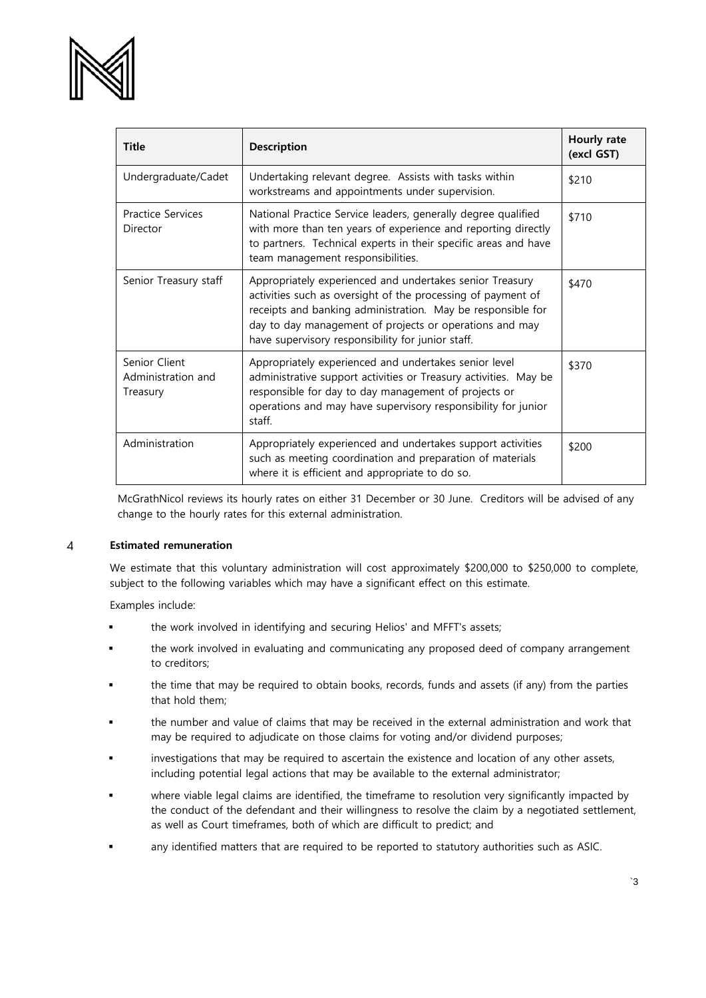

| <b>Title</b>                                    | <b>Description</b>                                                                                                                                                                                                                                                                                      | Hourly rate<br>(excl GST) |
|-------------------------------------------------|---------------------------------------------------------------------------------------------------------------------------------------------------------------------------------------------------------------------------------------------------------------------------------------------------------|---------------------------|
| Undergraduate/Cadet                             | Undertaking relevant degree. Assists with tasks within<br>workstreams and appointments under supervision.                                                                                                                                                                                               | \$210                     |
| <b>Practice Services</b><br>Director            | National Practice Service leaders, generally degree qualified<br>with more than ten years of experience and reporting directly<br>to partners. Technical experts in their specific areas and have<br>team management responsibilities.                                                                  | \$710                     |
| Senior Treasury staff                           | Appropriately experienced and undertakes senior Treasury<br>activities such as oversight of the processing of payment of<br>receipts and banking administration. May be responsible for<br>day to day management of projects or operations and may<br>have supervisory responsibility for junior staff. | \$470                     |
| Senior Client<br>Administration and<br>Treasury | Appropriately experienced and undertakes senior level<br>administrative support activities or Treasury activities. May be<br>responsible for day to day management of projects or<br>operations and may have supervisory responsibility for junior<br>staff.                                            | \$370                     |
| Administration                                  | Appropriately experienced and undertakes support activities<br>such as meeting coordination and preparation of materials<br>where it is efficient and appropriate to do so.                                                                                                                             | \$200                     |

McGrathNicol reviews its hourly rates on either 31 December or 30 June. Creditors will be advised of any change to the hourly rates for this external administration.

### **Estimated remuneration**  $\overline{4}$

We estimate that this voluntary administration will cost approximately \$200,000 to \$250,000 to complete, subject to the following variables which may have a significant effect on this estimate.

Examples include:

- the work involved in identifying and securing Helios' and MFFT's assets;
- the work involved in evaluating and communicating any proposed deed of company arrangement to creditors;
- the time that may be required to obtain books, records, funds and assets (if any) from the parties that hold them;
- the number and value of claims that may be received in the external administration and work that may be required to adjudicate on those claims for voting and/or dividend purposes;
- investigations that may be required to ascertain the existence and location of any other assets, including potential legal actions that may be available to the external administrator;
- where viable legal claims are identified, the timeframe to resolution very significantly impacted by the conduct of the defendant and their willingness to resolve the claim by a negotiated settlement, as well as Court timeframes, both of which are difficult to predict; and
- any identified matters that are required to be reported to statutory authorities such as ASIC.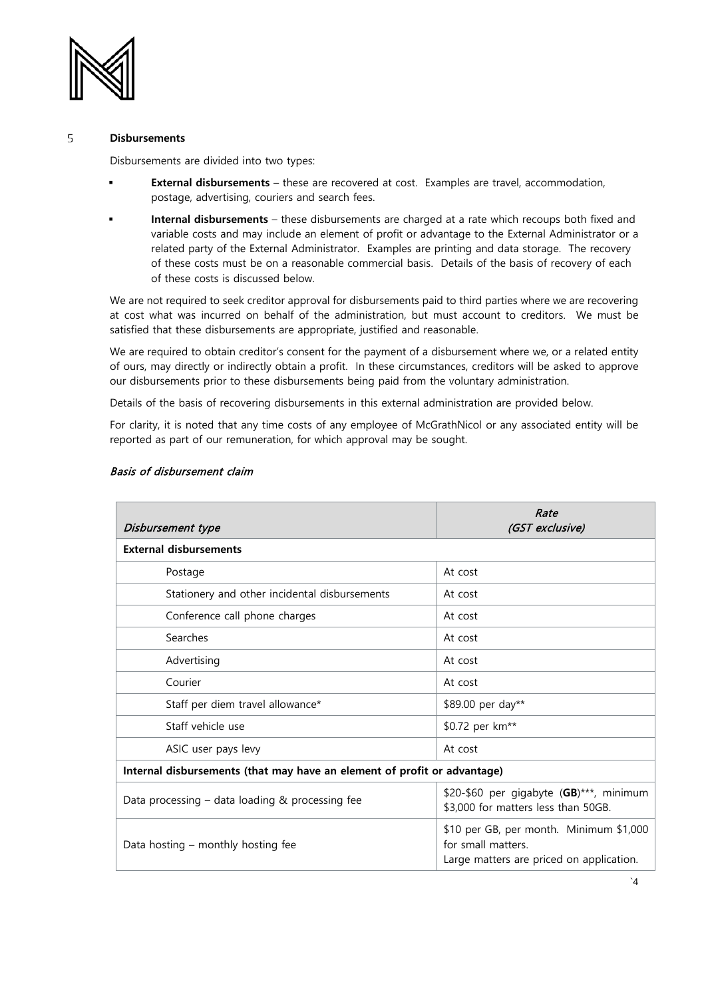

## 5 **Disbursements**

Disbursements are divided into two types:

- **External disbursements** these are recovered at cost. Examples are travel, accommodation, postage, advertising, couriers and search fees.
- **Internal disbursements** these disbursements are charged at a rate which recoups both fixed and variable costs and may include an element of profit or advantage to the External Administrator or a related party of the External Administrator. Examples are printing and data storage. The recovery of these costs must be on a reasonable commercial basis. Details of the basis of recovery of each of these costs is discussed below.

We are not required to seek creditor approval for disbursements paid to third parties where we are recovering at cost what was incurred on behalf of the administration, but must account to creditors. We must be satisfied that these disbursements are appropriate, justified and reasonable.

We are required to obtain creditor's consent for the payment of a disbursement where we, or a related entity of ours, may directly or indirectly obtain a profit. In these circumstances, creditors will be asked to approve our disbursements prior to these disbursements being paid from the voluntary administration.

Details of the basis of recovering disbursements in this external administration are provided below.

For clarity, it is noted that any time costs of any employee of McGrathNicol or any associated entity will be reported as part of our remuneration, for which approval may be sought.

| Disbursement type                                                        | Rate<br>(GST exclusive)                                                                                   |  |  |  |
|--------------------------------------------------------------------------|-----------------------------------------------------------------------------------------------------------|--|--|--|
| <b>External disbursements</b>                                            |                                                                                                           |  |  |  |
| Postage                                                                  | At cost                                                                                                   |  |  |  |
| Stationery and other incidental disbursements                            | At cost                                                                                                   |  |  |  |
| Conference call phone charges                                            | At cost                                                                                                   |  |  |  |
| Searches                                                                 | At cost                                                                                                   |  |  |  |
| Advertising                                                              | At cost                                                                                                   |  |  |  |
| Courier                                                                  | At cost                                                                                                   |  |  |  |
| Staff per diem travel allowance*                                         | \$89.00 per day**                                                                                         |  |  |  |
| Staff vehicle use                                                        | \$0.72 per km <sup>**</sup>                                                                               |  |  |  |
| ASIC user pays levy                                                      | At cost                                                                                                   |  |  |  |
| Internal disbursements (that may have an element of profit or advantage) |                                                                                                           |  |  |  |
| Data processing $-$ data loading & processing fee                        | \$20-\$60 per gigabyte (GB)***, minimum<br>\$3,000 for matters less than 50GB.                            |  |  |  |
| Data hosting – monthly hosting fee                                       | \$10 per GB, per month. Minimum \$1,000<br>for small matters.<br>Large matters are priced on application. |  |  |  |

# Basis of disbursement claim